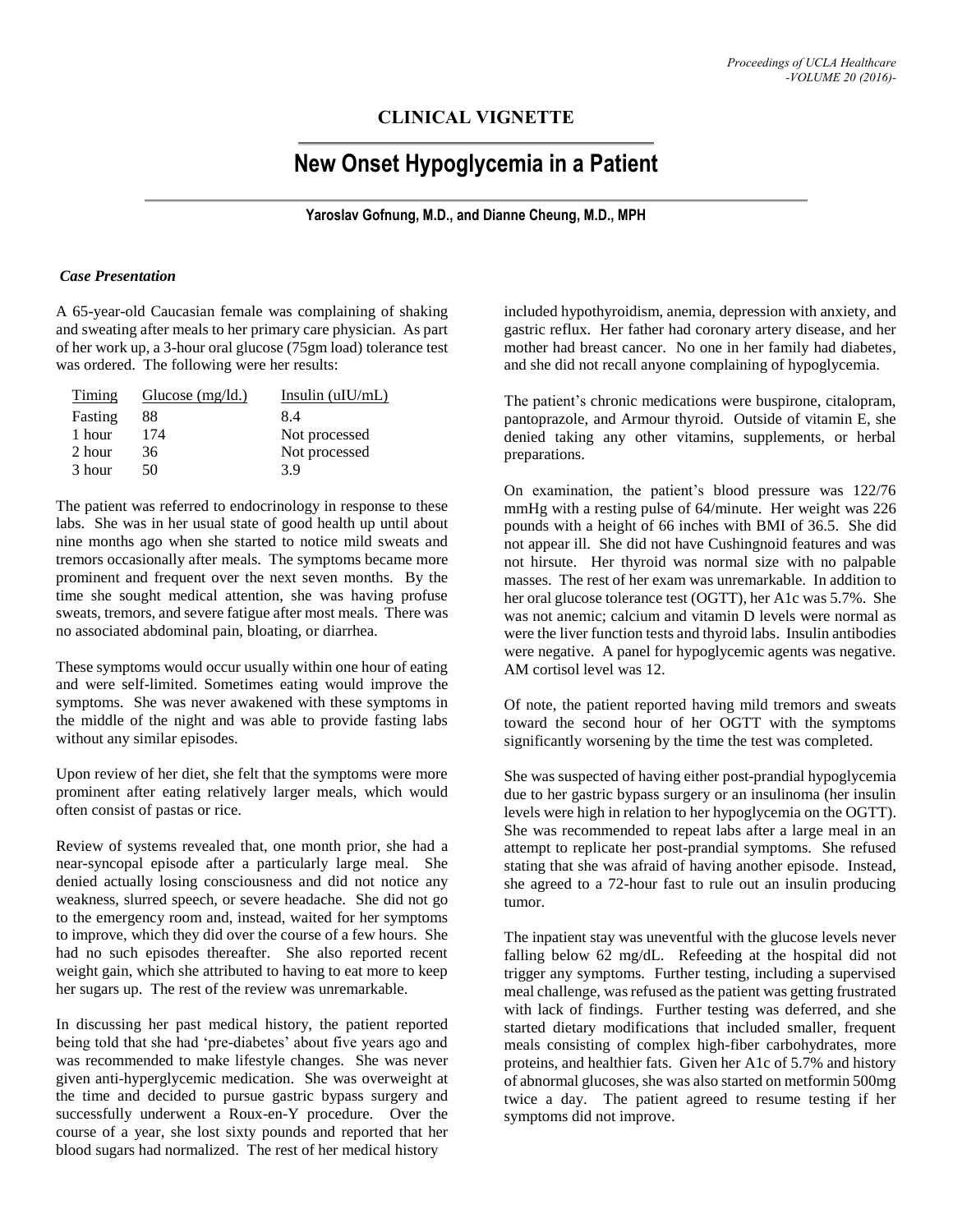## **CLINICAL VIGNETTE**

# **New Onset Hypoglycemia in a Patient**

**Yaroslav Gofnung, M.D., and Dianne Cheung, M.D., MPH**

#### *Case Presentation*

A 65-year-old Caucasian female was complaining of shaking and sweating after meals to her primary care physician. As part of her work up, a 3-hour oral glucose (75gm load) tolerance test was ordered. The following were her results:

| Timing  | <u>Glucose (mg/ld.)</u> | Insulin $(uIU/mL)$ |
|---------|-------------------------|--------------------|
| Fasting | 88                      | 8.4                |
| 1 hour  | 174                     | Not processed      |
| 2 hour  | 36                      | Not processed      |
| 3 hour  | 50                      | 39                 |

The patient was referred to endocrinology in response to these labs. She was in her usual state of good health up until about nine months ago when she started to notice mild sweats and tremors occasionally after meals. The symptoms became more prominent and frequent over the next seven months. By the time she sought medical attention, she was having profuse sweats, tremors, and severe fatigue after most meals. There was no associated abdominal pain, bloating, or diarrhea.

These symptoms would occur usually within one hour of eating and were self-limited. Sometimes eating would improve the symptoms. She was never awakened with these symptoms in the middle of the night and was able to provide fasting labs without any similar episodes.

Upon review of her diet, she felt that the symptoms were more prominent after eating relatively larger meals, which would often consist of pastas or rice.

Review of systems revealed that, one month prior, she had a near-syncopal episode after a particularly large meal. She denied actually losing consciousness and did not notice any weakness, slurred speech, or severe headache. She did not go to the emergency room and, instead, waited for her symptoms to improve, which they did over the course of a few hours. She had no such episodes thereafter. She also reported recent weight gain, which she attributed to having to eat more to keep her sugars up. The rest of the review was unremarkable.

In discussing her past medical history, the patient reported being told that she had 'pre-diabetes' about five years ago and was recommended to make lifestyle changes. She was never given anti-hyperglycemic medication. She was overweight at the time and decided to pursue gastric bypass surgery and successfully underwent a Roux-en-Y procedure. Over the course of a year, she lost sixty pounds and reported that her blood sugars had normalized. The rest of her medical history

included hypothyroidism, anemia, depression with anxiety, and gastric reflux. Her father had coronary artery disease, and her mother had breast cancer. No one in her family had diabetes, and she did not recall anyone complaining of hypoglycemia.

The patient's chronic medications were buspirone, citalopram, pantoprazole, and Armour thyroid. Outside of vitamin E, she denied taking any other vitamins, supplements, or herbal preparations.

On examination, the patient's blood pressure was 122/76 mmHg with a resting pulse of 64/minute. Her weight was 226 pounds with a height of 66 inches with BMI of 36.5. She did not appear ill. She did not have Cushingnoid features and was not hirsute. Her thyroid was normal size with no palpable masses. The rest of her exam was unremarkable. In addition to her oral glucose tolerance test (OGTT), her A1c was 5.7%. She was not anemic; calcium and vitamin D levels were normal as were the liver function tests and thyroid labs. Insulin antibodies were negative. A panel for hypoglycemic agents was negative. AM cortisol level was 12.

Of note, the patient reported having mild tremors and sweats toward the second hour of her OGTT with the symptoms significantly worsening by the time the test was completed.

She was suspected of having either post-prandial hypoglycemia due to her gastric bypass surgery or an insulinoma (her insulin levels were high in relation to her hypoglycemia on the OGTT). She was recommended to repeat labs after a large meal in an attempt to replicate her post-prandial symptoms. She refused stating that she was afraid of having another episode. Instead, she agreed to a 72-hour fast to rule out an insulin producing tumor.

The inpatient stay was uneventful with the glucose levels never falling below 62 mg/dL. Refeeding at the hospital did not trigger any symptoms. Further testing, including a supervised meal challenge, was refused as the patient was getting frustrated with lack of findings. Further testing was deferred, and she started dietary modifications that included smaller, frequent meals consisting of complex high-fiber carbohydrates, more proteins, and healthier fats. Given her A1c of 5.7% and history of abnormal glucoses, she was also started on metformin 500mg twice a day. The patient agreed to resume testing if her symptoms did not improve.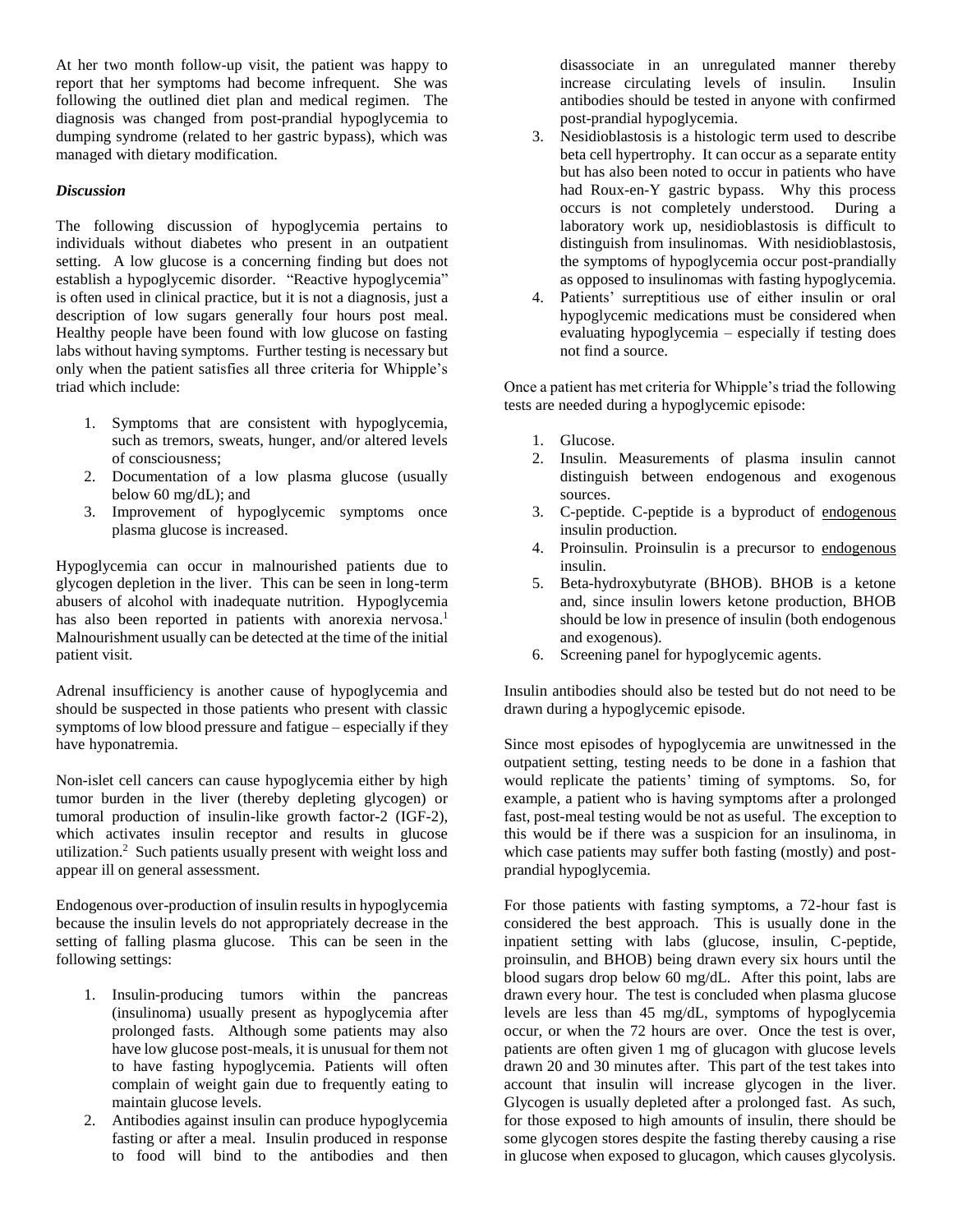At her two month follow-up visit, the patient was happy to report that her symptoms had become infrequent. She was following the outlined diet plan and medical regimen. The diagnosis was changed from post-prandial hypoglycemia to dumping syndrome (related to her gastric bypass), which was managed with dietary modification.

#### *Discussion*

The following discussion of hypoglycemia pertains to individuals without diabetes who present in an outpatient setting. A low glucose is a concerning finding but does not establish a hypoglycemic disorder. "Reactive hypoglycemia" is often used in clinical practice, but it is not a diagnosis, just a description of low sugars generally four hours post meal. Healthy people have been found with low glucose on fasting labs without having symptoms. Further testing is necessary but only when the patient satisfies all three criteria for Whipple's triad which include:

- 1. Symptoms that are consistent with hypoglycemia, such as tremors, sweats, hunger, and/or altered levels of consciousness;
- 2. Documentation of a low plasma glucose (usually below 60 mg/dL); and
- 3. Improvement of hypoglycemic symptoms once plasma glucose is increased.

Hypoglycemia can occur in malnourished patients due to glycogen depletion in the liver. This can be seen in long-term abusers of alcohol with inadequate nutrition. Hypoglycemia has also been reported in patients with anorexia nervosa.<sup>1</sup> Malnourishment usually can be detected at the time of the initial patient visit.

Adrenal insufficiency is another cause of hypoglycemia and should be suspected in those patients who present with classic symptoms of low blood pressure and fatigue – especially if they have hyponatremia.

Non-islet cell cancers can cause hypoglycemia either by high tumor burden in the liver (thereby depleting glycogen) or tumoral production of insulin-like growth factor-2 (IGF-2), which activates insulin receptor and results in glucose utilization. 2 Such patients usually present with weight loss and appear ill on general assessment.

Endogenous over-production of insulin results in hypoglycemia because the insulin levels do not appropriately decrease in the setting of falling plasma glucose. This can be seen in the following settings:

- 1. Insulin-producing tumors within the pancreas (insulinoma) usually present as hypoglycemia after prolonged fasts. Although some patients may also have low glucose post-meals, it is unusual for them not to have fasting hypoglycemia. Patients will often complain of weight gain due to frequently eating to maintain glucose levels.
- 2. Antibodies against insulin can produce hypoglycemia fasting or after a meal. Insulin produced in response to food will bind to the antibodies and then

disassociate in an unregulated manner thereby increase circulating levels of insulin. Insulin antibodies should be tested in anyone with confirmed post-prandial hypoglycemia.

- 3. Nesidioblastosis is a histologic term used to describe beta cell hypertrophy. It can occur as a separate entity but has also been noted to occur in patients who have had Roux-en-Y gastric bypass. Why this process occurs is not completely understood. During a laboratory work up, nesidioblastosis is difficult to distinguish from insulinomas. With nesidioblastosis, the symptoms of hypoglycemia occur post-prandially as opposed to insulinomas with fasting hypoglycemia.
- 4. Patients' surreptitious use of either insulin or oral hypoglycemic medications must be considered when evaluating hypoglycemia – especially if testing does not find a source.

Once a patient has met criteria for Whipple's triad the following tests are needed during a hypoglycemic episode:

- 1. Glucose.
- 2. Insulin. Measurements of plasma insulin cannot distinguish between endogenous and exogenous sources.
- 3. C-peptide. C-peptide is a byproduct of endogenous insulin production.
- 4. Proinsulin. Proinsulin is a precursor to endogenous insulin.
- 5. Beta-hydroxybutyrate (BHOB). BHOB is a ketone and, since insulin lowers ketone production, BHOB should be low in presence of insulin (both endogenous and exogenous).
- 6. Screening panel for hypoglycemic agents.

Insulin antibodies should also be tested but do not need to be drawn during a hypoglycemic episode.

Since most episodes of hypoglycemia are unwitnessed in the outpatient setting, testing needs to be done in a fashion that would replicate the patients' timing of symptoms. So, for example, a patient who is having symptoms after a prolonged fast, post-meal testing would be not as useful. The exception to this would be if there was a suspicion for an insulinoma, in which case patients may suffer both fasting (mostly) and postprandial hypoglycemia.

For those patients with fasting symptoms, a 72-hour fast is considered the best approach. This is usually done in the inpatient setting with labs (glucose, insulin, C-peptide, proinsulin, and BHOB) being drawn every six hours until the blood sugars drop below 60 mg/dL. After this point, labs are drawn every hour. The test is concluded when plasma glucose levels are less than 45 mg/dL, symptoms of hypoglycemia occur, or when the 72 hours are over. Once the test is over, patients are often given 1 mg of glucagon with glucose levels drawn 20 and 30 minutes after. This part of the test takes into account that insulin will increase glycogen in the liver. Glycogen is usually depleted after a prolonged fast. As such, for those exposed to high amounts of insulin, there should be some glycogen stores despite the fasting thereby causing a rise in glucose when exposed to glucagon, which causes glycolysis.